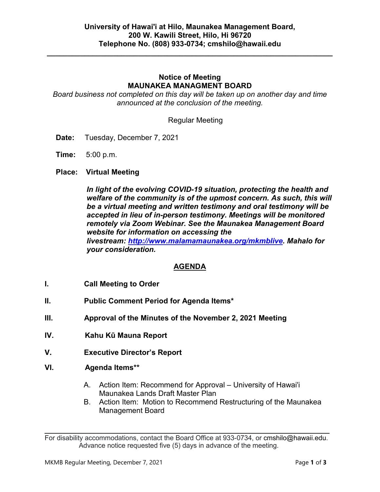**\_\_\_\_\_\_\_\_\_\_\_\_\_\_\_\_\_\_\_\_\_\_\_\_\_\_\_\_\_\_\_\_\_\_\_\_\_\_\_\_\_\_\_\_\_\_\_\_\_\_\_\_\_\_\_\_\_\_\_\_\_\_\_\_\_\_\_\_\_**

# **Notice of Meeting MAUNAKEA MANAGMENT BOARD**

*Board business not completed on this day will be taken up on another day and time announced at the conclusion of the meeting.*

Regular Meeting

- **Date:** Tuesday, December 7, 2021
- **Time:** 5:00 p.m.
- **Place: Virtual Meeting**

*In light of the evolving COVID-19 situation, protecting the health and welfare of the community is of the upmost concern. As such, this will be a virtual meeting and written testimony and oral testimony will be accepted in lieu of in-person testimony. Meetings will be monitored remotely via Zoom Webinar. See the Maunakea Management Board website for information on accessing the livestream: [http://www.malamamaunakea.org/mkmblive.](http://www.malamamaunakea.org/mkmblive) Mahalo for your consideration.*

# **AGENDA**

- **I. Call Meeting to Order**
- **II. Public Comment Period for Agenda Items\***
- **III. Approval of the Minutes of the November 2, 2021 Meeting**
- **IV. Kahu Kū Mauna Report**
- **V. Executive Director's Report**
- **VI. Agenda Items\*\***
	- A. Action Item: Recommend for Approval University of Hawai'i Maunakea Lands Draft Master Plan
	- B. Action Item: Motion to Recommend Restructuring of the Maunakea Management Board

 $\mathcal{L}_\text{max}$  and  $\mathcal{L}_\text{max}$  and  $\mathcal{L}_\text{max}$  and  $\mathcal{L}_\text{max}$  and  $\mathcal{L}_\text{max}$  and  $\mathcal{L}_\text{max}$ For disability accommodations, contact the Board Office at 933-0734, or [cmshilo@hawaii.edu.](mailto:cmshilo@hawaii.edu) Advance notice requested five (5) days in advance of the meeting.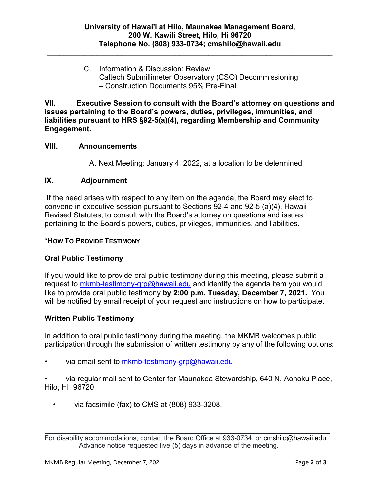**\_\_\_\_\_\_\_\_\_\_\_\_\_\_\_\_\_\_\_\_\_\_\_\_\_\_\_\_\_\_\_\_\_\_\_\_\_\_\_\_\_\_\_\_\_\_\_\_\_\_\_\_\_\_\_\_\_\_\_\_\_\_\_\_\_\_\_\_\_**

C. Information & Discussion: Review Caltech Submillimeter Observatory (CSO) Decommissioning – Construction Documents 95% Pre-Final

**VII. Executive Session to consult with the Board's attorney on questions and issues pertaining to the Board's powers, duties, privileges, immunities, and liabilities pursuant to HRS §92-5(a)(4), regarding Membership and Community Engagement.**

# **VIII. Announcements**

A. Next Meeting: January 4, 2022, at a location to be determined

### **IX. Adjournment**

If the need arises with respect to any item on the agenda, the Board may elect to convene in executive session pursuant to Sections 92-4 and 92-5 (a)(4), Hawaii Revised Statutes, to consult with the Board's attorney on questions and issues pertaining to the Board's powers, duties, privileges, immunities, and liabilities.

#### **\*HOW TO PROVIDE TESTIMONY**

# **Oral Public Testimony**

If you would like to provide oral public testimony during this meeting, please submit a request to [mkmb-testimony-grp@hawaii.edu](mailto:mkmb-testimony-grp@hawaii.edu) and identify the agenda item you would like to provide oral public testimony **by 2:00 p.m. Tuesday, December 7, 2021.** You will be notified by email receipt of your request and instructions on how to participate.

#### **Written Public Testimony**

In addition to oral public testimony during the meeting, the MKMB welcomes public participation through the submission of written testimony by any of the following options:

via email sent to [mkmb-testimony-grp@hawaii.edu](mailto:mkmb-testimony-grp@hawaii.edu)

• via regular mail sent to Center for Maunakea Stewardship, 640 N. Aohoku Place, Hilo, HI 96720

• via facsimile (fax) to CMS at (808) 933-3208.

 $\mathcal{L}_\text{max}$  and  $\mathcal{L}_\text{max}$  and  $\mathcal{L}_\text{max}$  and  $\mathcal{L}_\text{max}$  and  $\mathcal{L}_\text{max}$  and  $\mathcal{L}_\text{max}$ For disability accommodations, contact the Board Office at 933-0734, or [cmshilo@hawaii.edu.](mailto:cmshilo@hawaii.edu) Advance notice requested five (5) days in advance of the meeting.